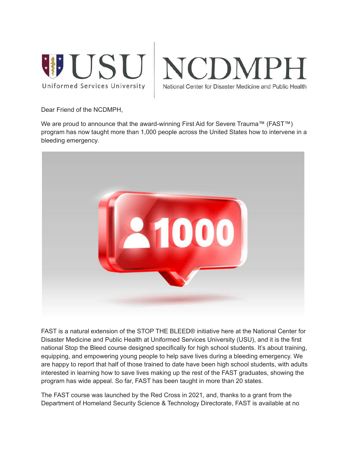



Dear Friend of the NCDMPH,

We are proud to announce that the award-winning First Aid for Severe Trauma™ (FAST™) program has now taught more than 1,000 people across the United States how to intervene in a bleeding emergency.



FAST is a natural extension of the STOP THE BLEED® initiative here at the National Center for Disaster Medicine and Public Health at Uniformed Services University (USU), and it is the first national Stop the Bleed course designed specifically for high school students. It's about training, equipping, and empowering young people to help save lives during a bleeding emergency. We are happy to report that half of those trained to date have been high school students, with adults interested in learning how to save lives making up the rest of the FAST graduates, showing the program has wide appeal. So far, FAST has been taught in more than 20 states.

The FAST course was launched by the Red Cross in 2021, and, thanks to a grant from the Department of Homeland Security Science & Technology Directorate, FAST is available at no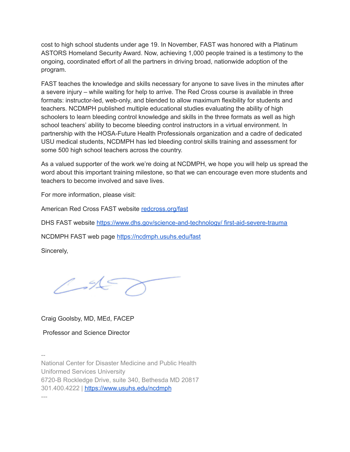cost to high school students under age 19. In November, FAST was honored with a Platinum ASTORS Homeland Security Award. Now, achieving 1,000 people trained is a testimony to the ongoing, coordinated effort of all the partners in driving broad, nationwide adoption of the program.

FAST teaches the knowledge and skills necessary for anyone to save lives in the minutes after a severe injury – while waiting for help to arrive. The Red Cross course is available in three formats: instructor-led, web-only, and blended to allow maximum flexibility for students and teachers. NCDMPH published multiple educational studies evaluating the ability of high schoolers to learn bleeding control knowledge and skills in the three formats as well as high school teachers' ability to become bleeding control instructors in a virtual environment. In partnership with the HOSA-Future Health Professionals organization and a cadre of dedicated USU medical students, NCDMPH has led bleeding control skills training and assessment for some 500 high school teachers across the country.

As a valued supporter of the work we're doing at NCDMPH, we hope you will help us spread the word about this important training milestone, so that we can encourage even more students and teachers to become involved and save lives.

For more information, please visit:

American Red Cross FAST website [redcross.org/fast](http://redcross.org/fast)

DHS FAST website [https://www.dhs.gov/science-and-technology/](https://nam04.safelinks.protection.outlook.com/?url=https%3A%2F%2Fwww.dhs.gov%2Fscience-and-technology%2F%2520first-aid-severe-trauma&data=04%7C01%7Cdataya.resenois%40bison.howard.edu%7Ca2214b49d43e48d2570208da11e57ac0%7C02ac0c07b75f46bf9b133630ba94bb69%7C0%7C0%7C637841974558412587%7CUnknown%7CTWFpbGZsb3d8eyJWIjoiMC4wLjAwMDAiLCJQIjoiV2luMzIiLCJBTiI6Ik1haWwiLCJXVCI6Mn0%3D%7C3000&sdata=Cjzv7alPtmKXaxUntllURBfs23N%2Ba7uX6AKiy2Sl4OM%3D&reserved=0) first-aid-severe-trauma

NCDMPH FAST web page [https://ncdmph.usuhs.edu/fast](https://nam04.safelinks.protection.outlook.com/?url=https%3A%2F%2Fncdmph.usuhs.edu%2Ffast&data=04%7C01%7Cdataya.resenois%40bison.howard.edu%7Ca2214b49d43e48d2570208da11e57ac0%7C02ac0c07b75f46bf9b133630ba94bb69%7C0%7C0%7C637841974558568824%7CUnknown%7CTWFpbGZsb3d8eyJWIjoiMC4wLjAwMDAiLCJQIjoiV2luMzIiLCJBTiI6Ik1haWwiLCJXVCI6Mn0%3D%7C3000&sdata=HTUnpsjEXUzTEDRHC%2FG8OR5JDw7l2oh4ItCf4Agxpp8%3D&reserved=0)

Sincerely,

 $\frac{4}{5}$ 

Craig Goolsby, MD, MEd, FACEP

Professor and Science Director

--

National Center for Disaster Medicine and Public Health Uniformed Services University 6720-B Rockledge Drive, suite 340, Bethesda MD 20817 301.400.4222 | [https://www.usuhs.edu/ncdmph](https://nam04.safelinks.protection.outlook.com/?url=https%3A%2F%2Fwww.usuhs.edu%2Fncdmph&data=04%7C01%7Cdataya.resenois%40bison.howard.edu%7Ca2214b49d43e48d2570208da11e57ac0%7C02ac0c07b75f46bf9b133630ba94bb69%7C0%7C0%7C637841974558568824%7CUnknown%7CTWFpbGZsb3d8eyJWIjoiMC4wLjAwMDAiLCJQIjoiV2luMzIiLCJBTiI6Ik1haWwiLCJXVCI6Mn0%3D%7C3000&sdata=hS4O4FVfPaRkrUrERKtIuifbCc7gpi7632Cg2Rz6D4M%3D&reserved=0) ---